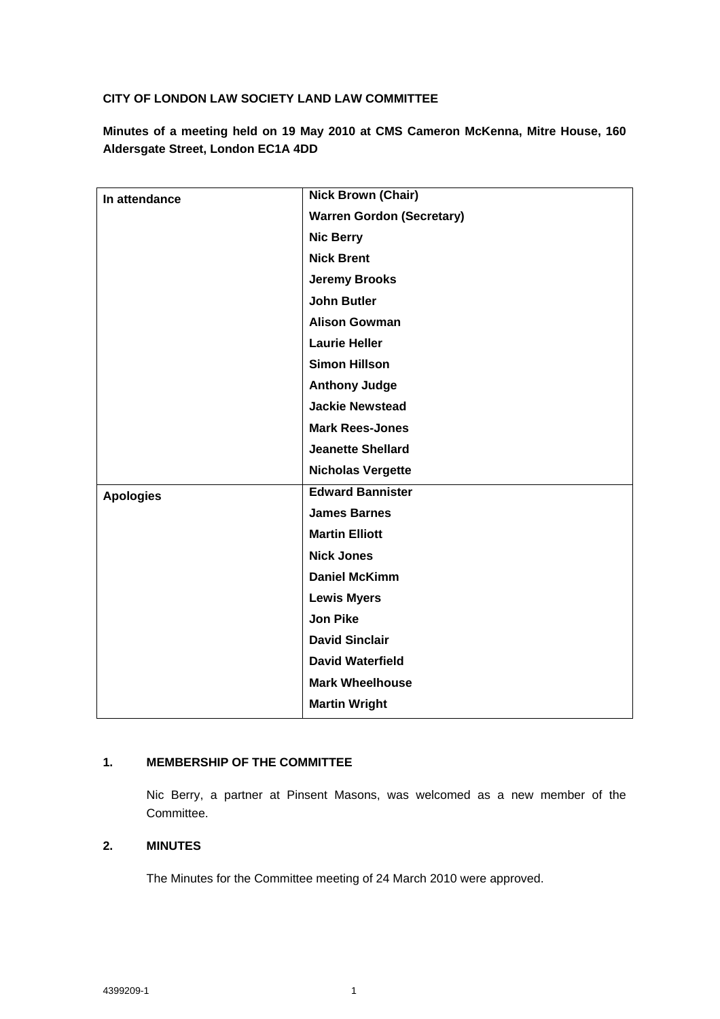# **CITY OF LONDON LAW SOCIETY LAND LAW COMMITTEE**

**Minutes of a meeting held on 19 May 2010 at CMS Cameron McKenna, Mitre House, 160 Aldersgate Street, London EC1A 4DD**

| In attendance    | <b>Nick Brown (Chair)</b>        |
|------------------|----------------------------------|
|                  | <b>Warren Gordon (Secretary)</b> |
|                  | <b>Nic Berry</b>                 |
|                  | <b>Nick Brent</b>                |
|                  | <b>Jeremy Brooks</b>             |
|                  | <b>John Butler</b>               |
|                  | <b>Alison Gowman</b>             |
|                  | <b>Laurie Heller</b>             |
|                  | <b>Simon Hillson</b>             |
|                  | <b>Anthony Judge</b>             |
|                  | <b>Jackie Newstead</b>           |
|                  | <b>Mark Rees-Jones</b>           |
|                  | <b>Jeanette Shellard</b>         |
|                  | <b>Nicholas Vergette</b>         |
| <b>Apologies</b> | <b>Edward Bannister</b>          |
|                  | <b>James Barnes</b>              |
|                  | <b>Martin Elliott</b>            |
|                  | <b>Nick Jones</b>                |
|                  | <b>Daniel McKimm</b>             |
|                  | <b>Lewis Myers</b>               |
|                  | <b>Jon Pike</b>                  |
|                  | <b>David Sinclair</b>            |
|                  | <b>David Waterfield</b>          |
|                  | <b>Mark Wheelhouse</b>           |
|                  | <b>Martin Wright</b>             |
|                  |                                  |

# **1. MEMBERSHIP OF THE COMMITTEE**

Nic Berry, a partner at Pinsent Masons, was welcomed as a new member of the Committee.

# **2. MINUTES**

The Minutes for the Committee meeting of 24 March 2010 were approved.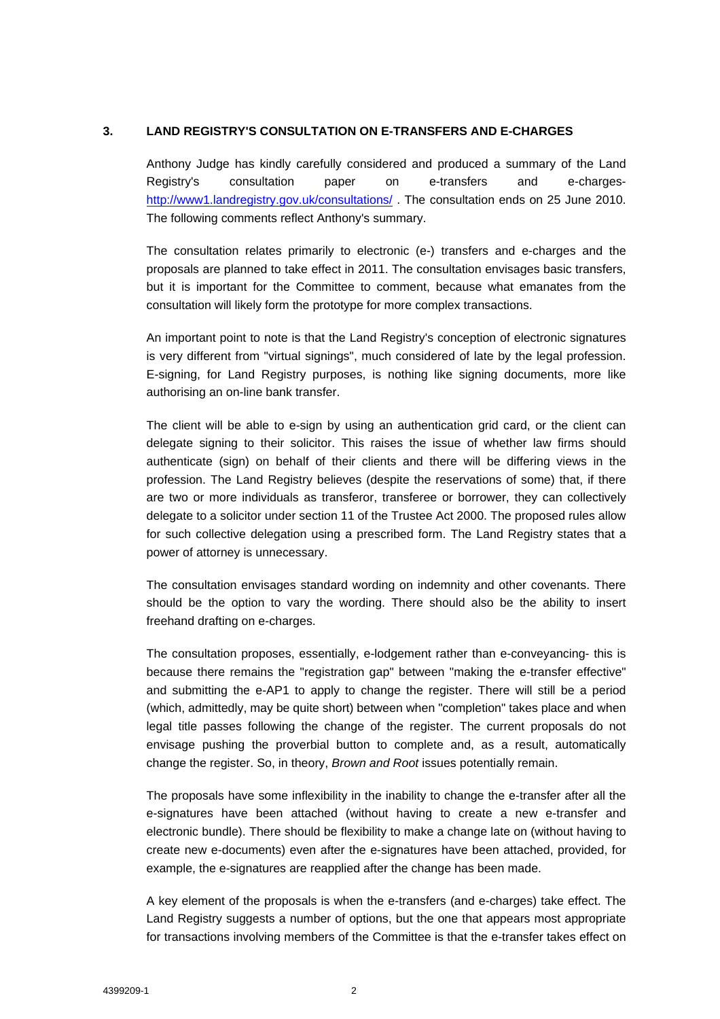## **3. LAND REGISTRY'S CONSULTATION ON E-TRANSFERS AND E-CHARGES**

Anthony Judge has kindly carefully considered and produced a summary of the Land Registry's consultation paper on e-transfers and e-charges<http://www1.landregistry.gov.uk/consultations/> . The consultation ends on 25 June 2010. The following comments reflect Anthony's summary.

The consultation relates primarily to electronic (e-) transfers and e-charges and the proposals are planned to take effect in 2011. The consultation envisages basic transfers, but it is important for the Committee to comment, because what emanates from the consultation will likely form the prototype for more complex transactions.

An important point to note is that the Land Registry's conception of electronic signatures is very different from "virtual signings", much considered of late by the legal profession. E-signing, for Land Registry purposes, is nothing like signing documents, more like authorising an on-line bank transfer.

The client will be able to e-sign by using an authentication grid card, or the client can delegate signing to their solicitor. This raises the issue of whether law firms should authenticate (sign) on behalf of their clients and there will be differing views in the profession. The Land Registry believes (despite the reservations of some) that, if there are two or more individuals as transferor, transferee or borrower, they can collectively delegate to a solicitor under section 11 of the Trustee Act 2000. The proposed rules allow for such collective delegation using a prescribed form. The Land Registry states that a power of attorney is unnecessary.

The consultation envisages standard wording on indemnity and other covenants. There should be the option to vary the wording. There should also be the ability to insert freehand drafting on e-charges.

The consultation proposes, essentially, e-lodgement rather than e-conveyancing- this is because there remains the "registration gap" between "making the e-transfer effective" and submitting the e-AP1 to apply to change the register. There will still be a period (which, admittedly, may be quite short) between when "completion" takes place and when legal title passes following the change of the register. The current proposals do not envisage pushing the proverbial button to complete and, as a result, automatically change the register. So, in theory, *Brown and Root* issues potentially remain.

The proposals have some inflexibility in the inability to change the e-transfer after all the e-signatures have been attached (without having to create a new e-transfer and electronic bundle). There should be flexibility to make a change late on (without having to create new e-documents) even after the e-signatures have been attached, provided, for example, the e-signatures are reapplied after the change has been made.

A key element of the proposals is when the e-transfers (and e-charges) take effect. The Land Registry suggests a number of options, but the one that appears most appropriate for transactions involving members of the Committee is that the e-transfer takes effect on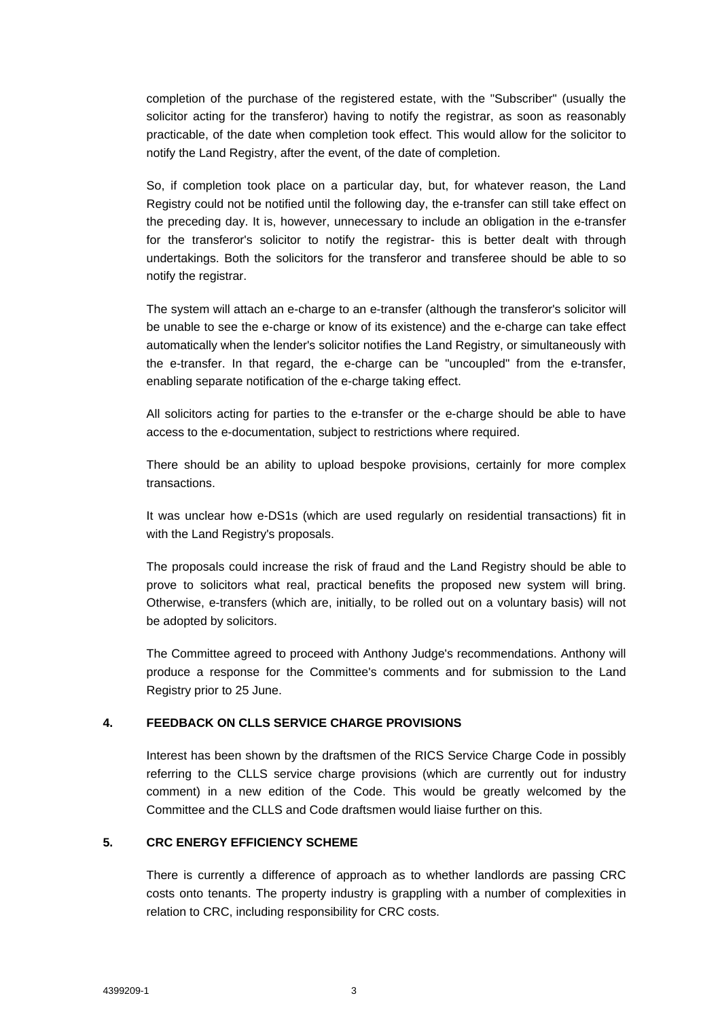completion of the purchase of the registered estate, with the "Subscriber" (usually the solicitor acting for the transferor) having to notify the registrar, as soon as reasonably practicable, of the date when completion took effect. This would allow for the solicitor to notify the Land Registry, after the event, of the date of completion.

So, if completion took place on a particular day, but, for whatever reason, the Land Registry could not be notified until the following day, the e-transfer can still take effect on the preceding day. It is, however, unnecessary to include an obligation in the e-transfer for the transferor's solicitor to notify the registrar- this is better dealt with through undertakings. Both the solicitors for the transferor and transferee should be able to so notify the registrar.

The system will attach an e-charge to an e-transfer (although the transferor's solicitor will be unable to see the e-charge or know of its existence) and the e-charge can take effect automatically when the lender's solicitor notifies the Land Registry, or simultaneously with the e-transfer. In that regard, the e-charge can be "uncoupled" from the e-transfer, enabling separate notification of the e-charge taking effect.

All solicitors acting for parties to the e-transfer or the e-charge should be able to have access to the e-documentation, subject to restrictions where required.

There should be an ability to upload bespoke provisions, certainly for more complex transactions.

It was unclear how e-DS1s (which are used regularly on residential transactions) fit in with the Land Registry's proposals.

The proposals could increase the risk of fraud and the Land Registry should be able to prove to solicitors what real, practical benefits the proposed new system will bring. Otherwise, e-transfers (which are, initially, to be rolled out on a voluntary basis) will not be adopted by solicitors.

The Committee agreed to proceed with Anthony Judge's recommendations. Anthony will produce a response for the Committee's comments and for submission to the Land Registry prior to 25 June.

#### **4. FEEDBACK ON CLLS SERVICE CHARGE PROVISIONS**

Interest has been shown by the draftsmen of the RICS Service Charge Code in possibly referring to the CLLS service charge provisions (which are currently out for industry comment) in a new edition of the Code. This would be greatly welcomed by the Committee and the CLLS and Code draftsmen would liaise further on this.

#### **5. CRC ENERGY EFFICIENCY SCHEME**

There is currently a difference of approach as to whether landlords are passing CRC costs onto tenants. The property industry is grappling with a number of complexities in relation to CRC, including responsibility for CRC costs.